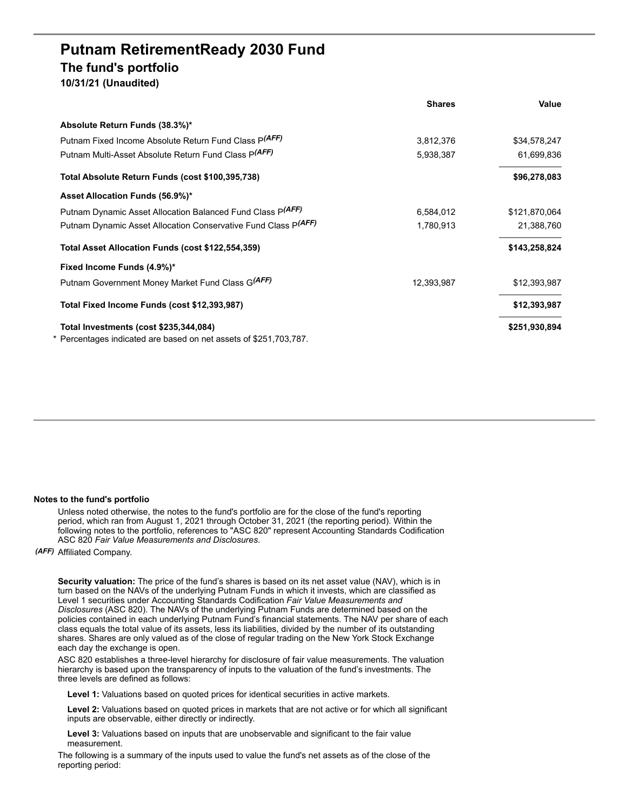## **Putnam RetirementReady 2030 Fund The fund's portfolio 10/31/21 (Unaudited)**

| Absolute Return Funds (38.3%)*                                    |            |               |
|-------------------------------------------------------------------|------------|---------------|
| Putnam Fixed Income Absolute Return Fund Class P(AFF)             | 3,812,376  | \$34,578,247  |
| Putnam Multi-Asset Absolute Return Fund Class P(AFF)              | 5,938,387  | 61,699,836    |
| Total Absolute Return Funds (cost \$100,395,738)                  |            | \$96,278,083  |
| Asset Allocation Funds (56.9%)*                                   |            |               |
| Putnam Dynamic Asset Allocation Balanced Fund Class P(AFF)        | 6,584,012  | \$121,870,064 |
| Putnam Dynamic Asset Allocation Conservative Fund Class P(AFF)    | 1,780,913  | 21,388,760    |
| Total Asset Allocation Funds (cost \$122,554,359)                 |            | \$143,258,824 |
| Fixed Income Funds (4.9%)*                                        |            |               |
| Putnam Government Money Market Fund Class G(AFF)                  | 12,393,987 | \$12,393,987  |
| Total Fixed Income Funds (cost \$12,393,987)                      |            | \$12,393,987  |
| Total Investments (cost \$235,344,084)                            |            | \$251,930,894 |
| * Percentages indicated are based on net assets of \$251,703,787. |            |               |

**Shares Value**

## **Notes to the fund's portfolio**

Unless noted otherwise, the notes to the fund's portfolio are for the close of the fund's reporting period, which ran from August 1, 2021 through October 31, 2021 (the reporting period). Within the following notes to the portfolio, references to "ASC 820" represent Accounting Standards Codification ASC 820 *Fair Value Measurements and Disclosures*.

*(AFF)* Affiliated Company.

**Security valuation:** The price of the fund's shares is based on its net asset value (NAV), which is in turn based on the NAVs of the underlying Putnam Funds in which it invests, which are classified as Level 1 securities under Accounting Standards Codification *Fair Value Measurements and Disclosures* (ASC 820). The NAVs of the underlying Putnam Funds are determined based on the policies contained in each underlying Putnam Fund's financial statements. The NAV per share of each class equals the total value of its assets, less its liabilities, divided by the number of its outstanding shares. Shares are only valued as of the close of regular trading on the New York Stock Exchange each day the exchange is open.

ASC 820 establishes a three-level hierarchy for disclosure of fair value measurements. The valuation hierarchy is based upon the transparency of inputs to the valuation of the fund's investments. The three levels are defined as follows:

**Level 1:** Valuations based on quoted prices for identical securities in active markets.

**Level 2:** Valuations based on quoted prices in markets that are not active or for which all significant inputs are observable, either directly or indirectly.

**Level 3:** Valuations based on inputs that are unobservable and significant to the fair value measurement.

The following is a summary of the inputs used to value the fund's net assets as of the close of the reporting period: